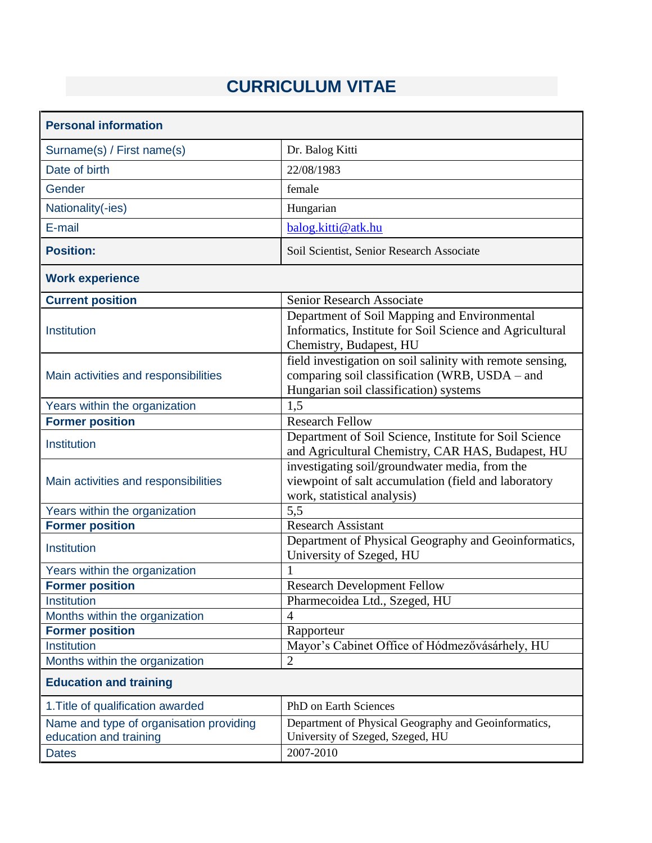## **CURRICULUM VITAE**

| <b>Personal information</b>                                                       |                                                                                                                                                       |  |  |
|-----------------------------------------------------------------------------------|-------------------------------------------------------------------------------------------------------------------------------------------------------|--|--|
| Surname(s) / First name(s)                                                        | Dr. Balog Kitti                                                                                                                                       |  |  |
| Date of birth                                                                     | 22/08/1983                                                                                                                                            |  |  |
| Gender                                                                            | female                                                                                                                                                |  |  |
| Nationality(-ies)                                                                 | Hungarian                                                                                                                                             |  |  |
| E-mail                                                                            | balog.kitti@atk.hu                                                                                                                                    |  |  |
| <b>Position:</b>                                                                  | Soil Scientist, Senior Research Associate                                                                                                             |  |  |
| <b>Work experience</b>                                                            |                                                                                                                                                       |  |  |
| <b>Current position</b>                                                           | Senior Research Associate                                                                                                                             |  |  |
| Institution                                                                       | Department of Soil Mapping and Environmental<br>Informatics, Institute for Soil Science and Agricultural<br>Chemistry, Budapest, HU                   |  |  |
| Main activities and responsibilities                                              | field investigation on soil salinity with remote sensing,<br>comparing soil classification (WRB, USDA - and<br>Hungarian soil classification) systems |  |  |
| Years within the organization                                                     | 1,5                                                                                                                                                   |  |  |
| <b>Former position</b>                                                            | <b>Research Fellow</b>                                                                                                                                |  |  |
| Institution                                                                       | Department of Soil Science, Institute for Soil Science<br>and Agricultural Chemistry, CAR HAS, Budapest, HU                                           |  |  |
| Main activities and responsibilities                                              | investigating soil/groundwater media, from the<br>viewpoint of salt accumulation (field and laboratory<br>work, statistical analysis)                 |  |  |
| Years within the organization                                                     | 5,5                                                                                                                                                   |  |  |
| <b>Former position</b>                                                            | <b>Research Assistant</b>                                                                                                                             |  |  |
| Institution                                                                       | Department of Physical Geography and Geoinformatics,<br>University of Szeged, HU                                                                      |  |  |
| Years within the organization                                                     | 1                                                                                                                                                     |  |  |
| <b>Former position</b>                                                            | <b>Research Development Fellow</b>                                                                                                                    |  |  |
| Institution                                                                       | Pharmecoidea Ltd., Szeged, HU                                                                                                                         |  |  |
| Months within the organization                                                    | 4                                                                                                                                                     |  |  |
| <b>Former position</b>                                                            | Rapporteur                                                                                                                                            |  |  |
| Institution                                                                       | Mayor's Cabinet Office of Hódmezővásárhely, HU                                                                                                        |  |  |
| Months within the organization                                                    | $\overline{2}$                                                                                                                                        |  |  |
| <b>Education and training</b>                                                     |                                                                                                                                                       |  |  |
| 1. Title of qualification awarded                                                 | PhD on Earth Sciences                                                                                                                                 |  |  |
| Name and type of organisation providing<br>education and training<br><b>Dates</b> | Department of Physical Geography and Geoinformatics,<br>University of Szeged, Szeged, HU<br>2007-2010                                                 |  |  |
|                                                                                   |                                                                                                                                                       |  |  |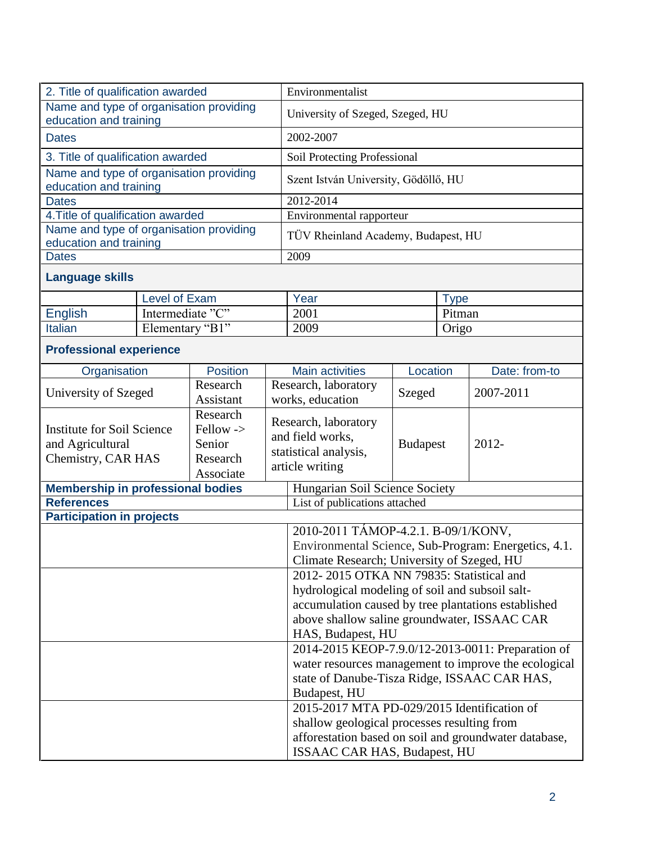| 2. Title of qualification awarded                                           |                  |                                                          | Environmentalist                                                                            |                                                                                      |                 |             |               |  |
|-----------------------------------------------------------------------------|------------------|----------------------------------------------------------|---------------------------------------------------------------------------------------------|--------------------------------------------------------------------------------------|-----------------|-------------|---------------|--|
| Name and type of organisation providing                                     |                  |                                                          |                                                                                             | University of Szeged, Szeged, HU                                                     |                 |             |               |  |
| education and training                                                      |                  |                                                          |                                                                                             |                                                                                      |                 |             |               |  |
| <b>Dates</b>                                                                |                  |                                                          |                                                                                             | 2002-2007                                                                            |                 |             |               |  |
| 3. Title of qualification awarded                                           |                  |                                                          |                                                                                             | Soil Protecting Professional                                                         |                 |             |               |  |
| Name and type of organisation providing<br>education and training           |                  |                                                          |                                                                                             | Szent István University, Gödöllő, HU                                                 |                 |             |               |  |
| <b>Dates</b>                                                                |                  |                                                          |                                                                                             | 2012-2014                                                                            |                 |             |               |  |
| 4. Title of qualification awarded                                           |                  |                                                          |                                                                                             | Environmental rapporteur                                                             |                 |             |               |  |
| Name and type of organisation providing<br>education and training           |                  |                                                          |                                                                                             | TÜV Rheinland Academy, Budapest, HU                                                  |                 |             |               |  |
| <b>Dates</b>                                                                |                  |                                                          |                                                                                             | 2009                                                                                 |                 |             |               |  |
| <b>Language skills</b>                                                      |                  |                                                          |                                                                                             |                                                                                      |                 |             |               |  |
|                                                                             | Level of Exam    |                                                          |                                                                                             | Year                                                                                 |                 | <b>Type</b> |               |  |
| <b>English</b>                                                              | Intermediate "C" |                                                          |                                                                                             | 2001                                                                                 |                 | Pitman      |               |  |
| Italian                                                                     | Elementary "B1"  |                                                          |                                                                                             | 2009                                                                                 |                 | Origo       |               |  |
| <b>Professional experience</b>                                              |                  |                                                          |                                                                                             |                                                                                      |                 |             |               |  |
| Organisation                                                                |                  | <b>Position</b>                                          |                                                                                             | <b>Main activities</b>                                                               | Location        |             | Date: from-to |  |
| University of Szeged                                                        |                  | Research<br>Assistant                                    |                                                                                             | Research, laboratory<br>Szeged<br>works, education                                   |                 | 2007-2011   |               |  |
| <b>Institute for Soil Science</b><br>and Agricultural<br>Chemistry, CAR HAS |                  | Research<br>Fellow -><br>Senior<br>Research<br>Associate |                                                                                             | Research, laboratory<br>and field works,<br>statistical analysis,<br>article writing | <b>Budapest</b> |             | 2012-         |  |
| <b>Membership in professional bodies</b>                                    |                  |                                                          |                                                                                             | Hungarian Soil Science Society                                                       |                 |             |               |  |
| <b>References</b>                                                           |                  |                                                          |                                                                                             | List of publications attached                                                        |                 |             |               |  |
| <b>Participation in projects</b>                                            |                  |                                                          |                                                                                             |                                                                                      |                 |             |               |  |
|                                                                             |                  |                                                          |                                                                                             | 2010-2011 TÁMOP-4.2.1. B-09/1/KONV,                                                  |                 |             |               |  |
|                                                                             |                  |                                                          |                                                                                             | Environmental Science, Sub-Program: Energetics, 4.1.                                 |                 |             |               |  |
|                                                                             |                  |                                                          | Climate Research; University of Szeged, HU                                                  |                                                                                      |                 |             |               |  |
|                                                                             |                  |                                                          | 2012-2015 OTKA NN 79835: Statistical and<br>hydrological modeling of soil and subsoil salt- |                                                                                      |                 |             |               |  |
|                                                                             |                  |                                                          | accumulation caused by tree plantations established                                         |                                                                                      |                 |             |               |  |
|                                                                             |                  |                                                          | above shallow saline groundwater, ISSAAC CAR                                                |                                                                                      |                 |             |               |  |
|                                                                             |                  |                                                          | HAS, Budapest, HU                                                                           |                                                                                      |                 |             |               |  |
|                                                                             |                  |                                                          | 2014-2015 KEOP-7.9.0/12-2013-0011: Preparation of                                           |                                                                                      |                 |             |               |  |
|                                                                             |                  |                                                          | water resources management to improve the ecological                                        |                                                                                      |                 |             |               |  |
|                                                                             |                  |                                                          | state of Danube-Tisza Ridge, ISSAAC CAR HAS,                                                |                                                                                      |                 |             |               |  |
|                                                                             |                  |                                                          |                                                                                             | Budapest, HU                                                                         |                 |             |               |  |
|                                                                             |                  |                                                          | 2015-2017 MTA PD-029/2015 Identification of                                                 |                                                                                      |                 |             |               |  |
|                                                                             |                  |                                                          | shallow geological processes resulting from                                                 |                                                                                      |                 |             |               |  |
|                                                                             |                  |                                                          | afforestation based on soil and groundwater database,                                       |                                                                                      |                 |             |               |  |
|                                                                             |                  |                                                          |                                                                                             | ISSAAC CAR HAS, Budapest, HU                                                         |                 |             |               |  |